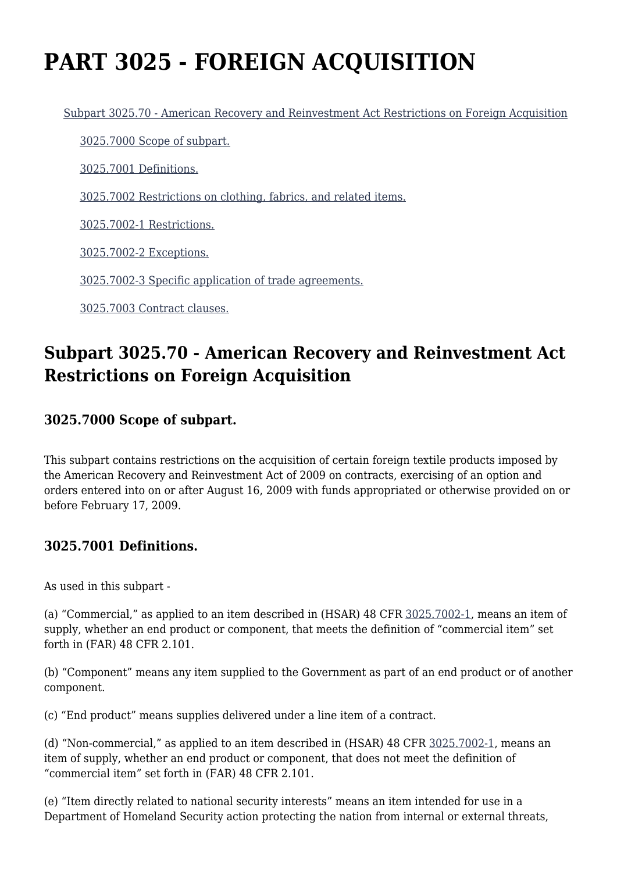# **PART 3025 - FOREIGN ACQUISITION**

[Subpart 3025.70 - American Recovery and Reinvestment Act Restrictions on Foreign Acquisition](https://origin-www.acquisition.gov/%5Brp:link:hsar-part-3025%5D#Subpart_3025_70_T48_70211251)

[3025.7000 Scope of subpart.](https://origin-www.acquisition.gov/%5Brp:link:hsar-part-3025%5D#Section_3025_7000_T48_7021125111)

[3025.7001 Definitions.](https://origin-www.acquisition.gov/%5Brp:link:hsar-part-3025%5D#Section_3025_7001_T48_7021125112)

[3025.7002 Restrictions on clothing, fabrics, and related items.](https://origin-www.acquisition.gov/%5Brp:link:hsar-part-3025%5D#Section_3025_7002_T48_7021125113)

[3025.7002-1 Restrictions.](https://origin-www.acquisition.gov/%5Brp:link:hsar-part-3025%5D#Section_3025_7002_1_T48_7021125114)

[3025.7002-2 Exceptions.](https://origin-www.acquisition.gov/%5Brp:link:hsar-part-3025%5D#Section_3025_7002_2_T48_7021125115)

[3025.7002-3 Specific application of trade agreements.](https://origin-www.acquisition.gov/%5Brp:link:hsar-part-3025%5D#Section_3025_7002_3_T48_7021125116)

[3025.7003 Contract clauses.](https://origin-www.acquisition.gov/%5Brp:link:hsar-part-3025%5D#Section_3025_7003_T48_7021125117)

# **Subpart 3025.70 - American Recovery and Reinvestment Act Restrictions on Foreign Acquisition**

# **3025.7000 Scope of subpart.**

This subpart contains restrictions on the acquisition of certain foreign textile products imposed by the American Recovery and Reinvestment Act of 2009 on contracts, exercising of an option and orders entered into on or after August 16, 2009 with funds appropriated or otherwise provided on or before February 17, 2009.

#### **3025.7001 Definitions.**

As used in this subpart -

(a) "Commercial," as applied to an item described in (HSAR) 48 CFR [3025.7002-1,](https://origin-www.acquisition.gov/%5Brp:link:hsar-part-3025%5D#Section_3025_7002_1_T48_7021125114) means an item of supply, whether an end product or component, that meets the definition of "commercial item" set forth in (FAR) 48 CFR 2.101.

(b) "Component" means any item supplied to the Government as part of an end product or of another component.

(c) "End product" means supplies delivered under a line item of a contract.

(d) "Non-commercial," as applied to an item described in (HSAR) 48 CFR [3025.7002-1](https://origin-www.acquisition.gov/%5Brp:link:hsar-part-3025%5D#Section_3025_7002_1_T48_7021125114), means an item of supply, whether an end product or component, that does not meet the definition of "commercial item" set forth in (FAR) 48 CFR 2.101.

(e) "Item directly related to national security interests" means an item intended for use in a Department of Homeland Security action protecting the nation from internal or external threats,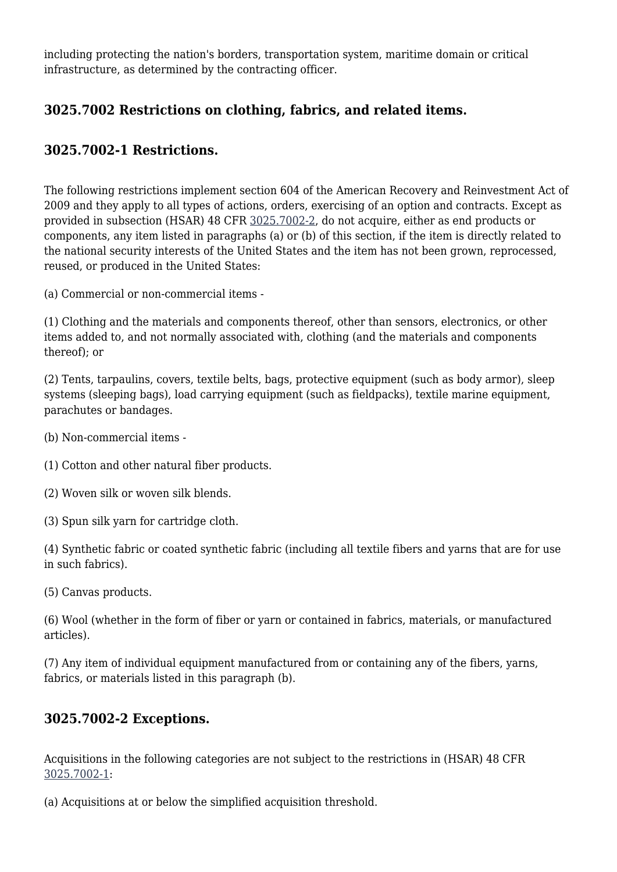including protecting the nation's borders, transportation system, maritime domain or critical infrastructure, as determined by the contracting officer.

# **3025.7002 Restrictions on clothing, fabrics, and related items.**

### **3025.7002-1 Restrictions.**

The following restrictions implement section 604 of the American Recovery and Reinvestment Act of 2009 and they apply to all types of actions, orders, exercising of an option and contracts. Except as provided in subsection (HSAR) 48 CFR [3025.7002-2](https://origin-www.acquisition.gov/%5Brp:link:hsar-part-3025%5D#Section_3025_7002_2_T48_7021125115), do not acquire, either as end products or components, any item listed in paragraphs (a) or (b) of this section, if the item is directly related to the national security interests of the United States and the item has not been grown, reprocessed, reused, or produced in the United States:

(a) Commercial or non-commercial items -

(1) Clothing and the materials and components thereof, other than sensors, electronics, or other items added to, and not normally associated with, clothing (and the materials and components thereof); or

(2) Tents, tarpaulins, covers, textile belts, bags, protective equipment (such as body armor), sleep systems (sleeping bags), load carrying equipment (such as fieldpacks), textile marine equipment, parachutes or bandages.

- (b) Non-commercial items -
- (1) Cotton and other natural fiber products.
- (2) Woven silk or woven silk blends.
- (3) Spun silk yarn for cartridge cloth.

(4) Synthetic fabric or coated synthetic fabric (including all textile fibers and yarns that are for use in such fabrics).

(5) Canvas products.

(6) Wool (whether in the form of fiber or yarn or contained in fabrics, materials, or manufactured articles).

(7) Any item of individual equipment manufactured from or containing any of the fibers, yarns, fabrics, or materials listed in this paragraph (b).

#### **3025.7002-2 Exceptions.**

Acquisitions in the following categories are not subject to the restrictions in (HSAR) 48 CFR [3025.7002-1:](https://origin-www.acquisition.gov/%5Brp:link:hsar-part-3025%5D#Section_3025_7002_1_T48_7021125114)

(a) Acquisitions at or below the simplified acquisition threshold.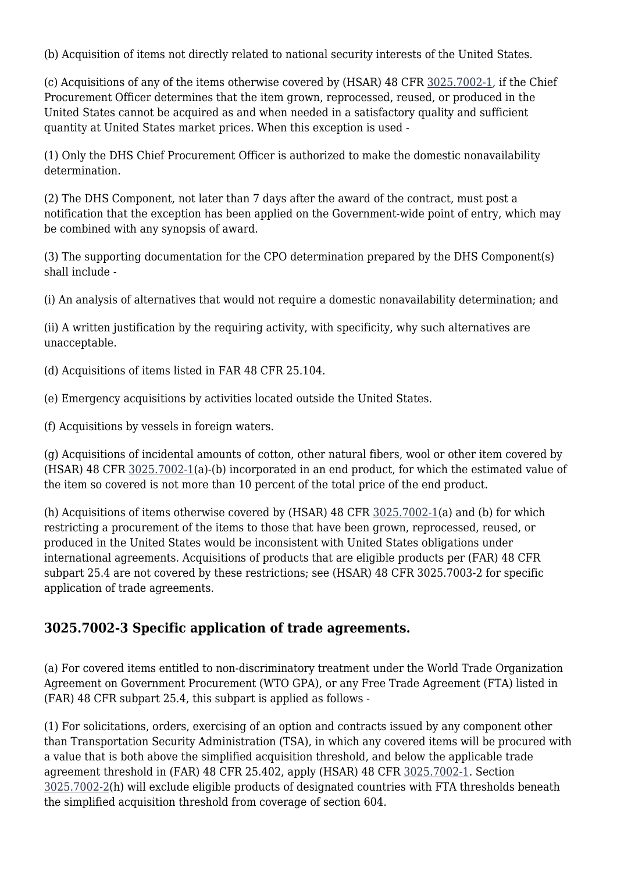(b) Acquisition of items not directly related to national security interests of the United States.

(c) Acquisitions of any of the items otherwise covered by (HSAR) 48 CFR [3025.7002-1](https://origin-www.acquisition.gov/%5Brp:link:hsar-part-3025%5D#Section_3025_7002_1_T48_7021125114), if the Chief Procurement Officer determines that the item grown, reprocessed, reused, or produced in the United States cannot be acquired as and when needed in a satisfactory quality and sufficient quantity at United States market prices. When this exception is used -

(1) Only the DHS Chief Procurement Officer is authorized to make the domestic nonavailability determination.

(2) The DHS Component, not later than 7 days after the award of the contract, must post a notification that the exception has been applied on the Government-wide point of entry, which may be combined with any synopsis of award.

(3) The supporting documentation for the CPO determination prepared by the DHS Component(s) shall include -

(i) An analysis of alternatives that would not require a domestic nonavailability determination; and

(ii) A written justification by the requiring activity, with specificity, why such alternatives are unacceptable.

(d) Acquisitions of items listed in FAR 48 CFR 25.104.

(e) Emergency acquisitions by activities located outside the United States.

(f) Acquisitions by vessels in foreign waters.

(g) Acquisitions of incidental amounts of cotton, other natural fibers, wool or other item covered by (HSAR) 48 CFR [3025.7002-1](https://origin-www.acquisition.gov/%5Brp:link:hsar-part-3025%5D#Section_3025_7002_1_T48_7021125114)(a)-(b) incorporated in an end product, for which the estimated value of the item so covered is not more than 10 percent of the total price of the end product.

(h) Acquisitions of items otherwise covered by  $(HSAR)$  48 CFR  $3025.7002-1$ (a) and (b) for which restricting a procurement of the items to those that have been grown, reprocessed, reused, or produced in the United States would be inconsistent with United States obligations under international agreements. Acquisitions of products that are eligible products per (FAR) 48 CFR subpart 25.4 are not covered by these restrictions; see (HSAR) 48 CFR 3025.7003-2 for specific application of trade agreements.

#### **3025.7002-3 Specific application of trade agreements.**

(a) For covered items entitled to non-discriminatory treatment under the World Trade Organization Agreement on Government Procurement (WTO GPA), or any Free Trade Agreement (FTA) listed in (FAR) 48 CFR subpart 25.4, this subpart is applied as follows -

(1) For solicitations, orders, exercising of an option and contracts issued by any component other than Transportation Security Administration (TSA), in which any covered items will be procured with a value that is both above the simplified acquisition threshold, and below the applicable trade agreement threshold in (FAR) 48 CFR 25.402, apply (HSAR) 48 CFR [3025.7002-1.](https://origin-www.acquisition.gov/%5Brp:link:hsar-part-3025%5D#Section_3025_7002_1_T48_7021125114) Section [3025.7002-2\(](https://origin-www.acquisition.gov/%5Brp:link:hsar-part-3025%5D#Section_3025_7002_2_T48_7021125115)h) will exclude eligible products of designated countries with FTA thresholds beneath the simplified acquisition threshold from coverage of section 604.